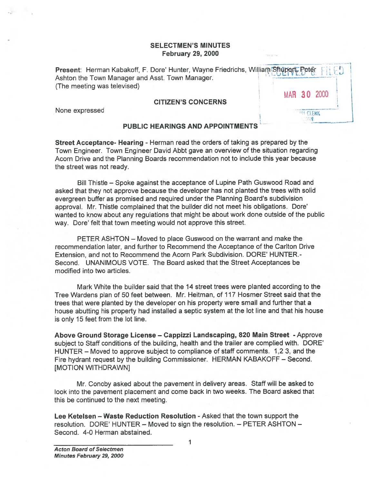## SELECTMEN'S MINUTES February 29, 2000

Present: Herman Kabakoff, F. Dore' Hunter, Wayne Friedrichs, William Shupertr Peter : 1994 Ashton the Town Manager and Asst. Town Manager. (The meeting was televised)

#### CITIZEN'S CONCERNS

None expressed

|  | MAR 30 2000 |  |
|--|-------------|--|
|  |             |  |

## PUBLIC HEARINGS AND APPOINTMENTS

Street Acceptance- Hearing - Herman read the orders of taking as prepared by the Town Engineer. Town Engineer David Abbt gave an overview of the situation regarding Acorn Drive and the Planning Boards recommendation not to include this year because the street was not ready.

Bill Thistle — Spoke against the acceptance of Lupine Path Guswood Road and asked that they not approve because the developer has not planted the trees with solid evergreen buffer as promised and required under the Planning Board's subdivision approval. Mr. Thistle complained that the builder did not meet his obligations. Dore' wanted to know about any regulations that might be about work done outside of the public way. Dore' felt that town meeting would not approve this street. SELEC<br>
Fet<br>
Fet<br>
Reneeting was televised)<br>
(The meeting was televised)<br>
CITIZI<br>
None expressed<br>
PUBLIC HEARII<br>
Street Acceptance- Hearing - Herman Town Engineer David<br>
Street Acceptance- Hearing - Herman Town Engineer Davi

PETER ASHTON — Moved to place Guswood on the warrant and make the recommendation later, and further to Recommend the Acceptance of the Carlton Drive Extension, and not to Recommend the Acorn Park Subdivision. DORE' HUNTER.- Second. UNANIMOUS VOTE. The Board asked that the Street Acceptances be modified into two articles.

Mark White the builder said that the 14 street trees were planted according to the Tree Wardens plan of 50 feet between. Mr. Heitman, of <sup>117</sup> Hosmer Street said that the trees that were planted by the developer on his property were small and further that <sup>a</sup> house abutting his property had installed <sup>a</sup> septic system at the lot line and that his house is only 15 feet from the lot line.

Above Ground Storage License — Cappizzi Landscaping, 820 Main Street -Approve subject to Staff conditions of the building, health and the trailer are complied with. DORE' HUNTER — Moved to approve subject to compliance of staff comments. 1,2 3, and the Fire hydrant reques<sup>t</sup> by the building Commissioner. HERMAN KABAKOFF — Second. [MOTION WITHDRAWN]

Mr. Conoby asked about the pavemen<sup>t</sup> in delivery areas. Staff will be asked to look into the pavemen<sup>t</sup> <sup>p</sup>lacement and come back in two weeks. The Board asked that this be continued to the next meeting.

Lee Ketelsen — Waste Reduction Resolution -Asked that the town suppor<sup>t</sup> the resolution. DORE' HUNTER — Moved to sign the resolution. — PETER ASHTON —

1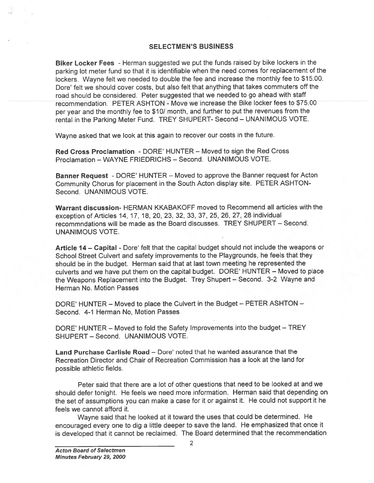#### SELECTMEN'S BUSINESS

Biker Locker Fees - Herman suggested we put the funds raised by bike lockers in the parking lot meter fund so that it is identifiable when the need comes for replacement of the lockers. Wayne felt we needed to double the fee and increase the monthly fee to \$15.00. Dore' felt we should cover costs, but also felt that anything that takes commuters off the road should be considered. Peter suggested that we needed to go ahead with staff recommendation. PETER ASHTON - Move we increase the Bike locker fees to \$75.00 per year and the monthly fee to \$10/ month, and further to put the revenues from the rental in the Parking Meter Fund. TREY SHUPERT- Second — UNANIMOUS VOTE.

Wayne asked that we look at this again to recover our costs in the future.

Red Cross Proclamation - DORE' HUNTER — Moved to sign the Red Cross Proclamation — WAYNE FRIEDRICHS — Second. UNANIMOUS VOTE.

Banner Request - DORE' HUNTER — Moved to approve the Banner reques<sup>t</sup> for Acton Community Chorus for <sup>p</sup>lacement in the South Acton display site. PETER ASHTON Second. UNANIMOUS VOTE.

Warrant discussion- HERMAN KKABAKOFF moved to Recommend all articles with the exception of Articles 14, 17, 18, 20, 23, 32, 33, 37, 25, 26, 27, <sup>28</sup> individual recommndations will be made as the Board discusses. TREY SHUPERT — Second. UNANIMOUS VOTE.

Article 14 – Capital - Dore' felt that the capital budget should not include the weapons or School Street Culvert and safety improvements to the Playgrounds, he feels that they should be in the budget. Herman said that at last town meeting he represented the culverts and we have pu<sup>t</sup> them on the capital budget. DORE' HUNTER — Moved to <sup>p</sup>lace the Weapons Replacement into the Budget. Trey Shupert – Second. 3-2 Wayne and Herman No. Motion Passes

DORE' HUNTER — Moved to <sup>p</sup>lace the Culvert in the Budget — PETER ASHTON — Second. 4-1 Herman No, Motion Passes

DORE' HUNTER — Moved to fold the Safety Improvements into the budget — TREY SHUPERT — Second. UNANIMOUS VOTE.

Land Purchase Carlisle Road — Dote' noted that he wanted assurance that the Recreation Director and Chair of Recreation Commission has <sup>a</sup> look at the land for possible athletic fields.

Peter said that there are <sup>a</sup> lot of other questions that need to be looked at and we should defer tonight. He feels we need more information. Herman said that depending on the set of assumptions you can make <sup>a</sup> case for it or against it. He could not suppor<sup>t</sup> it he feels we cannot afford it.

Wayne said that he looked at it toward the uses that could be determined. He encourage<sup>d</sup> every one to dig <sup>a</sup> little deeper to save the land. He emphasized that once it is developed that it cannot be reclaimed. The Board determined that the recommendation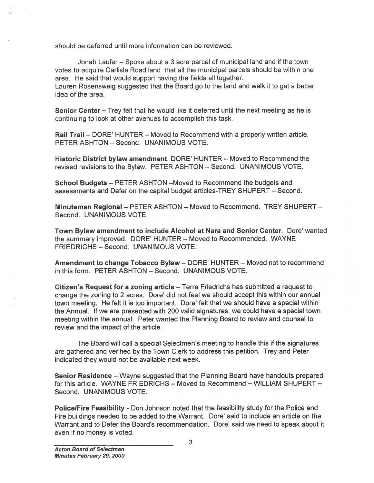should be deferred until more information can be reviewed.

Jonah Laufer — Spoke about <sup>a</sup> 3 acre parcel of municipal land and if the town votes to acquire Carlisle Road land that all the municipal parcels should be within one area. He said that would suppor<sup>t</sup> having the fields all together. Lauren Rosensweig suggested that the Board go to the land and walk it to ge<sup>t</sup> <sup>a</sup> better idea of the area.

Senior Center - Trey felt that he would like it deferred until the next meeting as he is continuing to look at other avenues to accomplish this task.

Rail Trail — DORE' HUNTER — Moved to Recommend with <sup>a</sup> properly written article. PETER ASHTON — Second. UNANIMOUS VOTE.

Historic District bylaw amendment. DORE' HUNTER — Moved to Recommend the revised revisions to the Bylaw. PETER ASHTON — Second. UNANIMOUS VOTE.

School Budgets — PETER ASHTON —Moved to Recommend the budgets and assessments and Defer on the capital budget articles-TREY SHUPERT — Second.

Minuteman Regional — PETER ASHTON — Moved to Recommend. TREY SHUPERT — Second. UNANIMOUS VOTE.

Town Bylaw amendment to include Alcohol at Nara and Senior Center. Dore' wanted the summary improved. DORE' HUNTER — Moved to Recommended. WAYNE FRIEDRICHS — Second. UNANIMOUS VOTE.

Amendment to change Tobacco Bylaw — DORE' HUNTER — Moved not to recommend in this form. PETER ASHTON — Second. UNANIMOUS VOTE.

Citizen's Request for <sup>a</sup> zoning article — Terra Friedrichs has submitted <sup>a</sup> reques<sup>t</sup> to change the zoning to <sup>2</sup> acres. Dore' did not feel we should accep<sup>t</sup> this within our annual town meeting. He felt it is too important. Dore' felt that we should have <sup>a</sup> special within the Annual. If we are presented with 200 valid signatures, we could have <sup>a</sup> special town meeting within the annual. Peter wanted the Planning Board to review and counsel to review and the impact of the article.

The Board will call <sup>a</sup> special Selectmen's meeting to handle this if the signatures are gathered and verified by the Town Clerk to address this petition. Trey and Peter indicated they would not be available next week.

Senior Residence — Wayne suggested that the Planning Board have handouts prepared for this article. WAYNE FRIEDRICHS — Moved to Recommend — WILLIAM SHUPERT — Second. UNANIMOUS VOTE.

PolicelFire Feasibility - Don Johnson noted that the feasibility study for the Police and Fire buildings needed to be added to the Warrant. Dore' said to include an article on the Warrant and to Defer the Board's recommendation. Dore' said we need to speak about it even if no money is voted.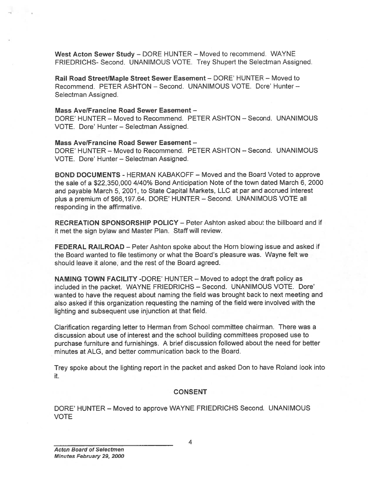West Acton Sewer Study — DORE HUNTER — Moved to recommend. WAYNE FRIEDRICHS- Second. UNANIMOUS VOTE. Trey Shupert the Selectman Assigned.

Rail Road Street/Maple Street Sewer Easement — DORE' HUNTER — Moved to Recommend. PETER ASHTON — Second. UNANIMOUS VOTE. Dore' Hunter — Selectman Assigned.

### Mass AvelFrancine Road Sewer Easement —

DORE' HUNTER - Moved to Recommend. PETER ASHTON - Second. UNANIMOUS VOTE. Dore' Hunter - Selectman Assigned.

#### Mass Ave/Francine Road Sewer Easement —

DORE' HUNTER — Moved to Recommend. PETER ASHTON — Second. UNANIMOUS VOTE. Dore' Hunter — Selectman Assigned.

BOND DOCUMENTS - HERMAN KABAKOFF — Moved and the Board Voted to approve the sale of <sup>a</sup> \$22,350,000 4/40% Bond Anticipation Note of the town dated March 6, 2000 and payable March 5, 2001, to State Capital Markets, LLC at par and accrued interest <sup>p</sup>lus <sup>a</sup> premium of \$66,197.64. DORE' HUNTER — Second. UNANIMOUS VOTE all responding in the affirmative.

RECREATION SPONSORSHIP POLICY — Peter Ashton asked about the billboard and if it met the sign bylaw and Master Plan. Staff will review.

FEDERAL RAILROAD — Peter Ashton spoke about the Horn blowing issue and asked if the Board wanted to file testimony or what the Board's pleasure was. Wayne felt we should leave it alone, and the rest of the Board agreed.

NAMING TOWN FACILITY -DORE' HUNTER — Moved to adopt the draft policy as included in the packet. WAYNE FRIEDRICHS — Second. UNANIMOUS VOTE. Dore' wanted to have the reques<sup>t</sup> about naming the field was brought back to next meeting and also asked if this organization requesting the naming of the field were involved with the lighting and subsequent use injunction at that field.

Clarification regarding letter to Herman from School committee chairman. There was <sup>a</sup> discussion about use of interest and the school building committees proposed use to purchase furniture and furnishings. <sup>A</sup> brief discussion followed about the need for better minutes at ALG, and better communication back to the Board.

Trey spoke about the lighting repor<sup>t</sup> in the packet and asked Don to have Roland look into it.

#### CONSENT

DORE' HUNTER — Moved to approve WAYNE FRIEDRICHS Second. UNANIMOUS VOTE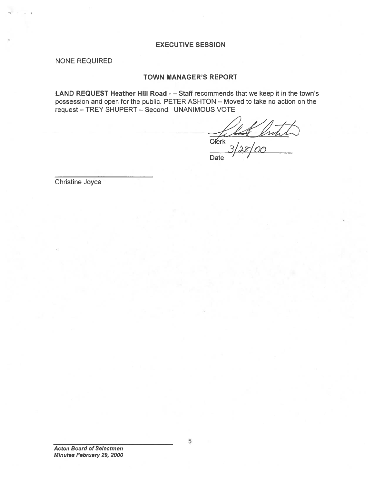## EXECUTIVE SESSION

NONE REQUIRED

—S

### TOWN MANAGER'S REPORT

LAND REQUEST Heather Hill Road - - Staff recommends that we keep it in the town's possession and open for the public. PETER ASHTON — Moved to take no action on the reques<sup>t</sup> — TREY SHUPERT — Second. UNANIMOUS VOTE

—**Clerk** 3/28/*0*0 Date

Christine Joyce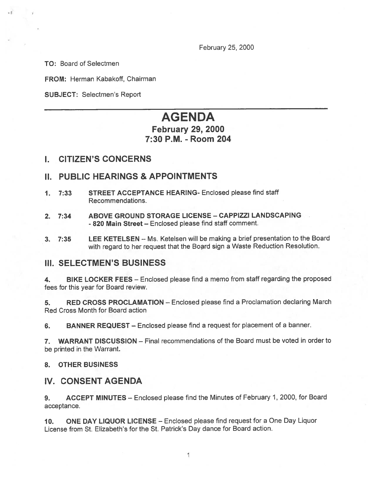February 25, 2000

TO: Board of Selectmen

FROM: Herman Kabakoff, Chairman

SUBJECT: Selectmen's Report

# AGENDA

## February 29, 2000 7:30 P.M. -Room 204

## I. CITIZEN'S CONCERNS

## II. PUBLIC HEARINGS & APPOINTMENTS

- 1. 7:33 STREET ACCEPTANCE HEARING- Enclosed please find staff Recommendations.
- 2. 7:34 ABOVE GROUND STORAGE LICENSE CAPPIZZI LANDSCAPING - 820 Main Street – Enclosed please find staff comment
- 3. 7:35 LEE KETELSEN Ms. Ketelsen will be making <sup>a</sup> brief presentation to the Board with regar<sup>d</sup> to her reques<sup>t</sup> that the Board sign <sup>a</sup> Waste Reduction Resolution.

## III. SELECTMEN'S BUSINESS

4. BIKE LOCKER FEES — Enclosed <sup>p</sup>lease find <sup>a</sup> memo from staff regarding the proposed fees for this year for Board review.

5. RED CROSS PROCLAMATION — Enclosed <sup>p</sup>lease find <sup>a</sup> Proclamation declaring March Red Cross Month for Board action

6. BANNER REQUEST — Enclosed <sup>p</sup>lease find <sup>a</sup> reques<sup>t</sup> for <sup>p</sup>lacement of <sup>a</sup> banner.

7. WARRANT DISCUSSION — Final recommendations of the Board must be voted in order to be printed in the Warrant.

## 8. OTHER BUSINESS

## IV. CONSENT AGENDA

9. ACCEPT MINUTES — Enclosed <sup>p</sup>lease find the Minutes of February 1, 2000, for Board acceptance.

10. ONE DAY LIQUOR LICENSE — Enclosed <sup>p</sup>lease find reques<sup>t</sup> for <sup>a</sup> One Day Liquor License from St. Elizabeth's for the St. Patrick's Day dance for Board action.